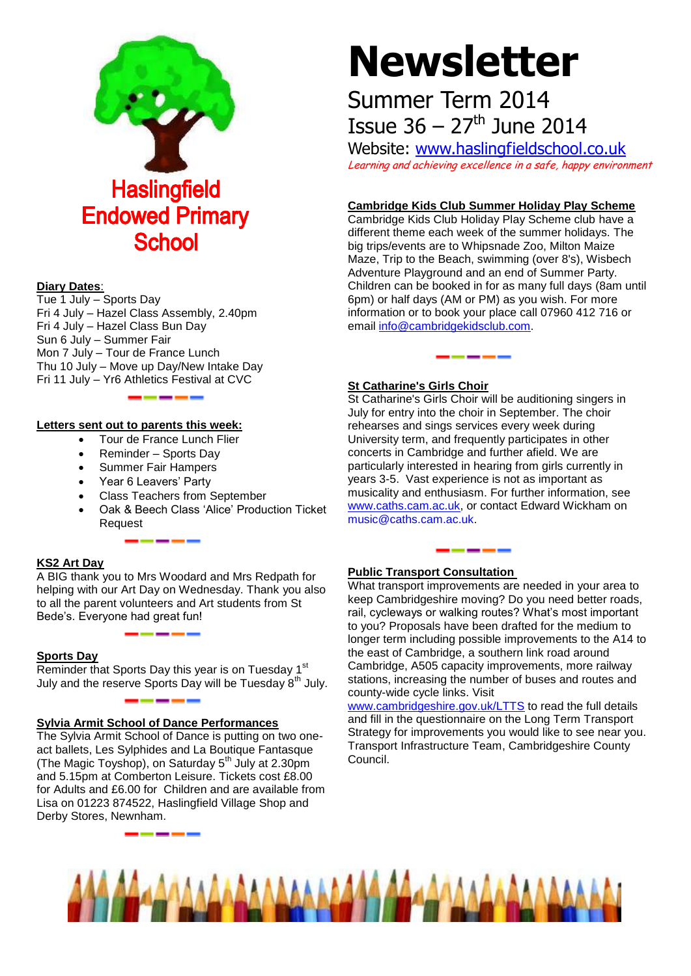

#### **Diary Dates**:

Tue 1 July – Sports Day Fri 4 July – Hazel Class Assembly, 2.40pm Fri 4 July – Hazel Class Bun Day Sun 6 July – Summer Fair Mon 7 July – Tour de France Lunch Thu 10 July – Move up Day/New Intake Day Fri 11 July – Yr6 Athletics Festival at CVC

#### **Letters sent out to parents this week:**

- Tour de France Lunch Flier
- Reminder Sports Day
- Summer Fair Hampers
- Year 6 Leavers' Party
- Class Teachers from September

------

 Oak & Beech Class 'Alice' Production Ticket Request

#### **KS2 Art Day**

A BIG thank you to Mrs Woodard and Mrs Redpath for helping with our Art Day on Wednesday. Thank you also to all the parent volunteers and Art students from St Bede's. Everyone had great fun!

#### **Sports Day**

Reminder that Sports Day this year is on Tuesday 1<sup>st</sup> July and the reserve Sports Day will be Tuesday 8<sup>th</sup> July.

#### **Sylvia Armit School of Dance Performances**

The Sylvia Armit School of Dance is putting on two oneact ballets, Les Sylphides and La Boutique Fantasque (The Magic Toyshop), on Saturday 5<sup>th</sup> July at 2.30pm and 5.15pm at Comberton Leisure. Tickets cost £8.00 for Adults and £6.00 for Children and are available from Lisa on 01223 874522, Haslingfield Village Shop and Derby Stores, Newnham.

# **Newsletter**

## Summer Term 2014 **Issue 36 – 27<sup>th</sup> June 2014**

Website: [www.haslingfieldschool.co.uk](http://www.haslingfieldschool.co.uk/) Learning and achieving excellence in a safe, happy environment

#### **Cambridge Kids Club Summer Holiday Play Scheme**

Cambridge Kids Club Holiday Play Scheme club have a different theme each week of the summer holidays. The big trips/events are to Whipsnade Zoo, Milton Maize Maze, Trip to the Beach, swimming (over 8's), Wisbech Adventure Playground and an end of Summer Party. Children can be booked in for as many full days (8am until 6pm) or half days (AM or PM) as you wish. For more information or to book your place call 07960 412 716 or email [info@cambridgekidsclub.com.](mailto:info@cambridgekidsclub.com)

#### **St Catharine's Girls Choir**

St Catharine's Girls Choir will be auditioning singers in July for entry into the choir in September. The choir rehearses and sings services every week during University term, and frequently participates in other concerts in Cambridge and further afield. We are particularly interested in hearing from girls currently in years 3-5. Vast experience is not as important as musicality and enthusiasm. For further information, see [www.caths.cam.ac.uk,](http://www.caths.cam.ac.uk/) or contact Edward Wickham on [music@caths.cam.ac.uk.](mailto:music@caths.cam.ac.uk)

-----

### **Public Transport Consultation**

What transport improvements are needed in your area to keep Cambridgeshire moving? Do you need better roads, rail, cycleways or walking routes? What's most important to you? Proposals have been drafted for the medium to longer term including possible improvements to the A14 to the east of Cambridge, a southern link road around Cambridge, A505 capacity improvements, more railway stations, increasing the number of buses and routes and county-wide cycle links. Visit

[www.cambridgeshire.gov.uk/LTTS](http://www.cambridgeshire.gov.uk/LTTS) to read the full details and fill in the questionnaire on the Long Term Transport Strategy for improvements you would like to see near you. Transport Infrastructure Team, Cambridgeshire County Council.